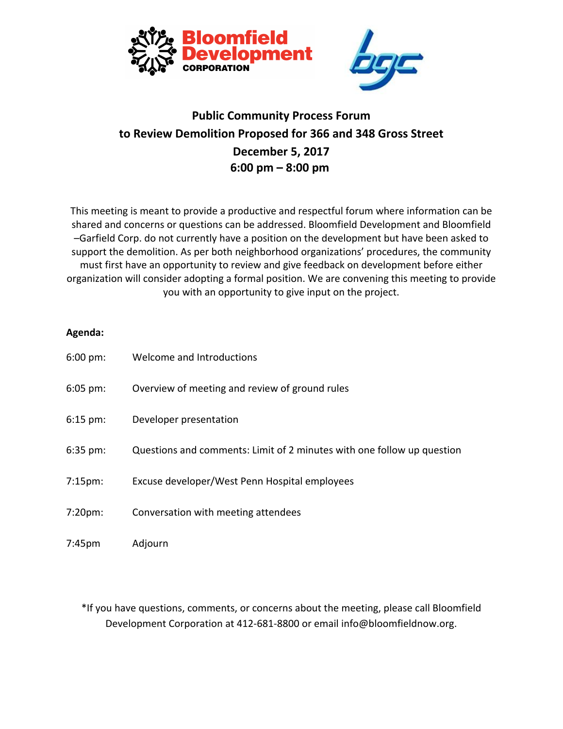

## **Public Community Process Forum to Review Demolition Proposed for 366 and 348 Gross Street December 5, 2017 6:00 pm – 8:00 pm**

This meeting is meant to provide a productive and respectful forum where information can be shared and concerns or questions can be addressed. Bloomfield Development and Bloomfield –Garfield Corp. do not currently have a position on the development but have been asked to support the demolition. As per both neighborhood organizations' procedures, the community must first have an opportunity to review and give feedback on development before either organization will consider adopting a formal position. We are convening this meeting to provide you with an opportunity to give input on the project.

## **Agenda:**

| $6:00 \text{ pm}$ : | Welcome and Introductions                                              |
|---------------------|------------------------------------------------------------------------|
| $6:05$ pm:          | Overview of meeting and review of ground rules                         |
| $6:15$ pm:          | Developer presentation                                                 |
| $6:35$ pm:          | Questions and comments: Limit of 2 minutes with one follow up question |
| $7:15 \text{pm}:$   | Excuse developer/West Penn Hospital employees                          |
| $7:20pm$ :          | Conversation with meeting attendees                                    |
| $7:45$ pm           | Adjourn                                                                |

\*If you have questions, comments, or concerns about the meeting, please call Bloomfield Development Corporation at 412-681-8800 or email info@bloomfieldnow.org.